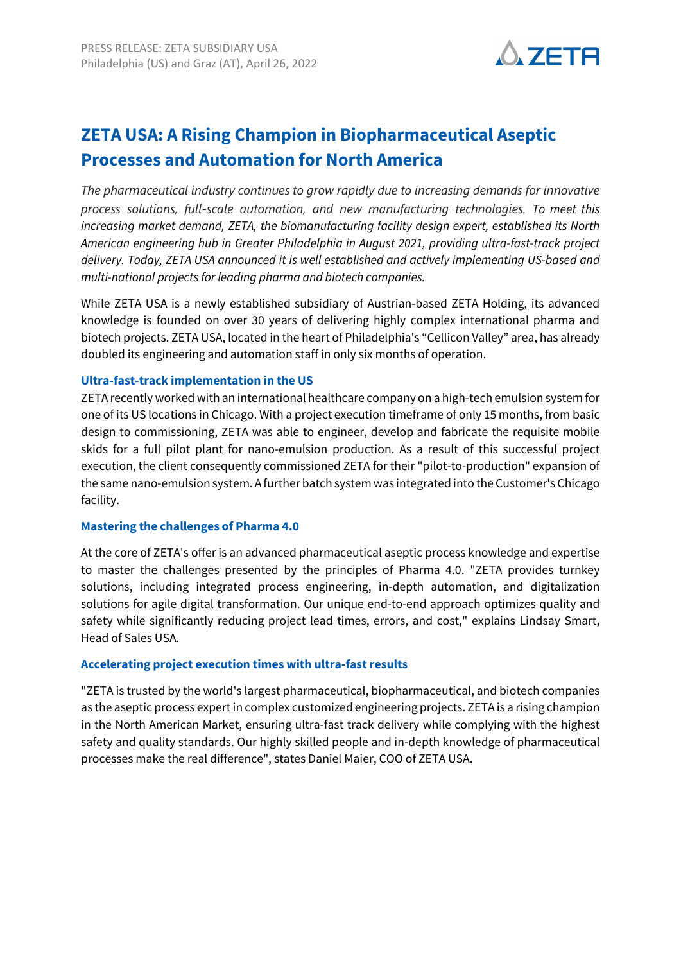

# **ZETA USA: A Rising Champion in Biopharmaceutical Aseptic Processes and Automation for North America**

*The pharmaceutical industry continues to grow rapidly due to increasing demands for innovative process solutions, full-scale automation, and new manufacturing technologies. To meet this increasing market demand, ZETA, the biomanufacturing facility design expert, established its North American engineering hub in Greater Philadelphia in August 2021, providing ultra-fast-track project delivery. Today, ZETA USA announced it is well established and actively implementing US-based and multi-national projects for leading pharma and biotech companies.* 

While ZETA USA is a newly established subsidiary of Austrian-based ZETA Holding, its advanced knowledge is founded on over 30 years of delivering highly complex international pharma and biotech projects. ZETA USA, located in the heart of Philadelphia's "Cellicon Valley" area, has already doubled its engineering and automation staff in only six months of operation.

## **Ultra-fast-track implementation in the US**

ZETA recently worked with an international healthcare company on a high-tech emulsion system for one of its US locations in Chicago. With a project execution timeframe of only 15 months, from basic design to commissioning, ZETA was able to engineer, develop and fabricate the requisite mobile skids for a full pilot plant for nano-emulsion production. As a result of this successful project execution, the client consequently commissioned ZETA for their "pilot-to-production" expansion of the same nano-emulsion system. A further batch system was integrated into the Customer's Chicago facility.

### **Mastering the challenges of Pharma 4.0**

At the core of ZETA's offer is an advanced pharmaceutical aseptic process knowledge and expertise to master the challenges presented by the principles of Pharma 4.0. "ZETA provides turnkey solutions, including integrated process engineering, in-depth automation, and digitalization solutions for agile digital transformation. Our unique end-to-end approach optimizes quality and safety while significantly reducing project lead times, errors, and cost," explains Lindsay Smart, Head of Sales USA.

# **Accelerating project execution times with ultra-fast results**

"ZETA is trusted by the world's largest pharmaceutical, biopharmaceutical, and biotech companies as the aseptic process expert in complex customized engineering projects. ZETA is a rising champion in the North American Market, ensuring ultra-fast track delivery while complying with the highest safety and quality standards. Our highly skilled people and in-depth knowledge of pharmaceutical processes make the real difference", states Daniel Maier, COO of ZETA USA.